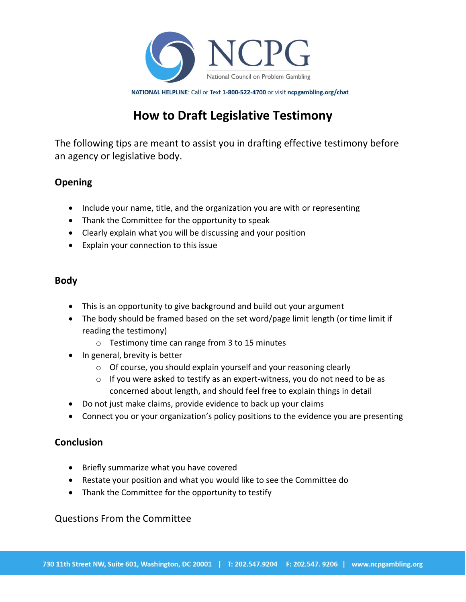

NATIONAL HELPLINE: Call or Text 1-800-522-4700 or visit ncpgambling.org/chat

# **How to Draft Legislative Testimony**

The following tips are meant to assist you in drafting effective testimony before an agency or legislative body.

## **Opening**

- Include your name, title, and the organization you are with or representing
- Thank the Committee for the opportunity to speak
- Clearly explain what you will be discussing and your position
- Explain your connection to this issue

### **Body**

- This is an opportunity to give background and build out your argument
- The body should be framed based on the set word/page limit length (or time limit if reading the testimony)
	- o Testimony time can range from 3 to 15 minutes
- In general, brevity is better
	- o Of course, you should explain yourself and your reasoning clearly
	- $\circ$  If you were asked to testify as an expert-witness, you do not need to be as concerned about length, and should feel free to explain things in detail
- Do not just make claims, provide evidence to back up your claims
- Connect you or your organization's policy positions to the evidence you are presenting

### **Conclusion**

- Briefly summarize what you have covered
- Restate your position and what you would like to see the Committee do
- Thank the Committee for the opportunity to testify

### Questions From the Committee